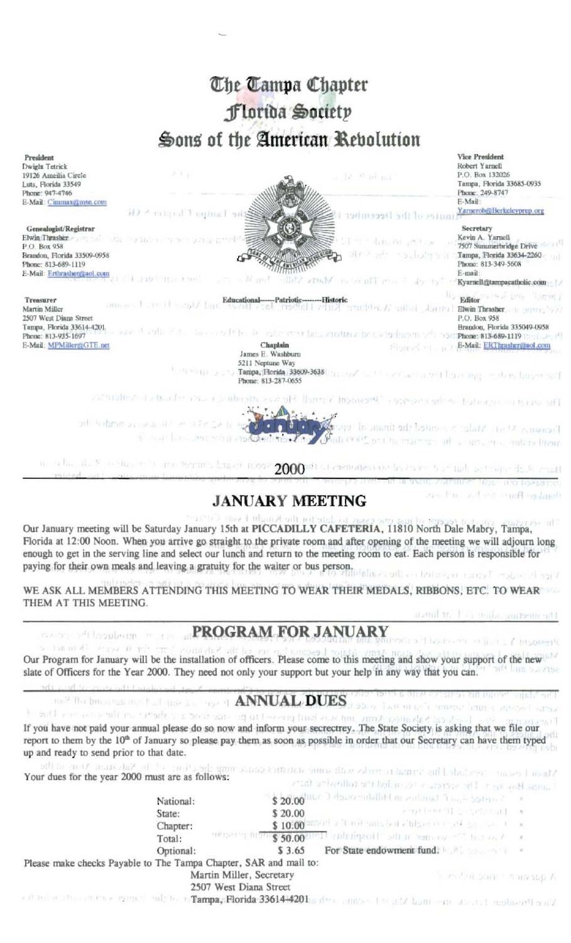# The Tampa Chapter Florida Society Sons of the American Rebolution



### **JANUARY MEETING**

don fine. and will condition bush-

autors's amends forms a and

Our January meeting will be Saturday January 15th at PICCADILLY CAFETERIA, 11810 North Dale Mabry, Tampa, Florida at 12:00 Noon. When you arrive go straight to the private room and after opening of the meeting we will adjourn long enough to get in the serving line and select our lunch and return to the meeting room to eat. Each person is responsible for paying for their own meals and leaving a gratuity for the waiter or bus person.

WE ASK ALL MEMBERS ATTENDING THIS MEETING TO WEAR THEIR MEDALS, RIBBONS, ETC. TO WEAR THEM AT THIS MEETING. during the local indication and the

## PROGRAM FOR JANUARY

Section in 41 August 18 archi-Our Program for January will be the installation of officers. Please come to this meeting and show your support of the new slate of Officers for the Year 2000. They need not only your support but your help in any way that you can.

## 082 The bound take one final state state state of ANNUAL DUES as a contract

the built was away for the the state and all the state the state of the state of the If you have not paid your annual please do so now and inform your secrectrey. The State Society is asking that we file our report to them by the 10<sup>th</sup> of January so please pay them as soon as possible in order that our Secretary can have them typed up and ready to send prior to that date.

Gar - claim Salonian Annis in the Mason I research and the terminal to enhance with similar statistics cannot the Your dues for the year 2000 must are as follows:

mean of teachm

|                                                                   |                            | The second continuous of the service of the control of the control and the control of the control of the control of the control of the control of the control of the control of the control of the control of the control of t |  |
|-------------------------------------------------------------------|----------------------------|--------------------------------------------------------------------------------------------------------------------------------------------------------------------------------------------------------------------------------|--|
| National:                                                         |                            | \$ 20.00 me I dowe entitled in zational Track Solence in                                                                                                                                                                       |  |
| State:                                                            | \$20.00                    | who have the controlling and                                                                                                                                                                                                   |  |
| Chapter:                                                          | \$10.00                    | action is a complete complete form in the state                                                                                                                                                                                |  |
| Total:                                                            | <b>MARKET MOTORS 50.00</b> | will admissed to sense and the third in the                                                                                                                                                                                    |  |
| Optional:                                                         | \$3.65                     | For State endowment fund.                                                                                                                                                                                                      |  |
| Please make checks Payable to The Tampa Chapter, SAR and mail to: |                            |                                                                                                                                                                                                                                |  |
| Martin Miller, Secretary                                          |                            | is serviced beam. The marketing A-                                                                                                                                                                                             |  |
| 2507 West Diana Street                                            |                            |                                                                                                                                                                                                                                |  |

a director attraction of the town of the to Tampa, Florida 336144201 a director and a 17 ham control at the memoria and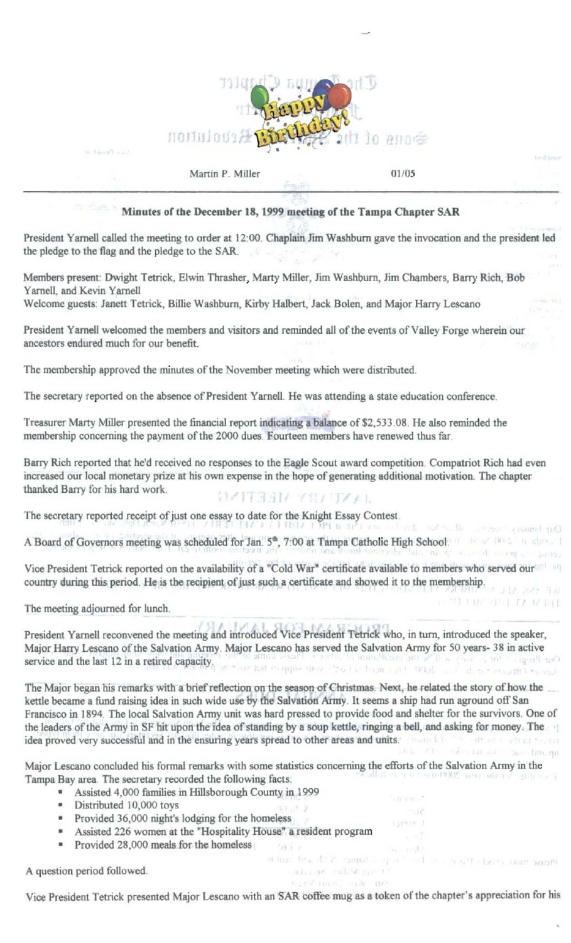

 $01/05$ 

had one of a considerable control.

Please make count of the months.

THE VEHICLE OF SHEET

#### Minutes of the December 18, 1999 meeting of the Tampa Chapter SAR

President Yarnell called the meeting to order at 12:00. Chaplain Jim Washburn gave the invocation and the president led the pledge to the flag and the pledge to the SAR.

Members present: Dwight Tetrick, Elwin Thrasher, Marty Miller, Jim Washburn, Jim Chambers, Barry Rich, Bob Yarnell, and Kevin Yarnell

Welcome guests: Janett Tetrick, Billie Washburn, Kirby Halbert, Jack Bolen, and Major Harry Lescano

President Yarnell welcomed the members and visitors and reminded all of the events of Valley Forge wherein our ancestors endured much for our benefit.

The membership approved the minutes of the November meeting which were distributed.

Martin P. Miller

The secretary reported on the absence of President Yarnell. He was attending a state education conference.

Treasurer Marty Miller presented the financial report indicating a balance of \$2,533.08. He also reminded the membership concerning the payment of the 2000 dues. Fourteen members have renewed thus far.

Barry Rich reported that he'd received no responses to the Eagle Scout award competition. Compatriot Rich had even increased our local monetary prize at his own expense in the hope of generating additional motivation. The chapter thanked Barry for his hard work. **TAALISE AREARY** 

The secretary reported receipt of just one essay to date for the Knight Essay Contest.

Our bones ? seems all and the fact the action of the PRC (Altra CAP) A Board of Governors meeting was scheduled for Jan. 5<sup>th</sup>, 7:00 at Tampa Catholic High School: A state of the state of

Vice President Tetrick reported on the availability of a "Cold War" certificate available to members who served our country during this period. He is the recipient of just such a certificate and showed it to the membership.

The meeting adjourned for lunch.

in their Treaty

President Yarnell reconvened the meeting and introduced Vice President Tetrick who, in turn, introduced the speaker, Major Harry Lescano of the Salvation Army. Major Lescano has served the Salvation Army for 50 years- 38 in active service and the last 12 in a retired capacity. The state couples the service in the state of the couple and the last 12 in a retired capacity.

The Major began his remarks with a brief reflection on the season of Christmas. Next, he related the story of how the kettle became a fund raising idea in such wide use by the Salvation Army. It seems a ship had run aground off San Francisco in 1894. The local Salvation Army unit was hard pressed to provide food and shelter for the survivors. One of the leaders of the Army in SF hit upon the idea of standing by a soup kettle, ringing a bell, and asking for money. The idea proved very successful and in the ensuring years spread to other areas and units. The contract of the contract of the contract of the contract of the contract of the contract of the contract of the contract of the con Still, 2011. Swim has some base family that

Major Lescano concluded his formal remarks with some statistics concerning the efforts of the Salvation Army in the You tune is now you could use Y Tampa Bay area. The secretary recorded the following facts:

Selection of

- Assisted 4,000 families in Hillsborough County in 1999
- · Distributed 10,000 toys
- Provided 36,000 night's lodging for the homeless
- Assisted 226 women at the "Hospitality House" a resident program
- Provided 28,000 meals for the homeless

A question period followed.

Vice President Tetrick presented Major Lescano with an SAR coffee mug as a token of the chapter's appreciation for his

of four line ARY bannels.

nitrove entity me **NUMBER OF BY** 

aport.